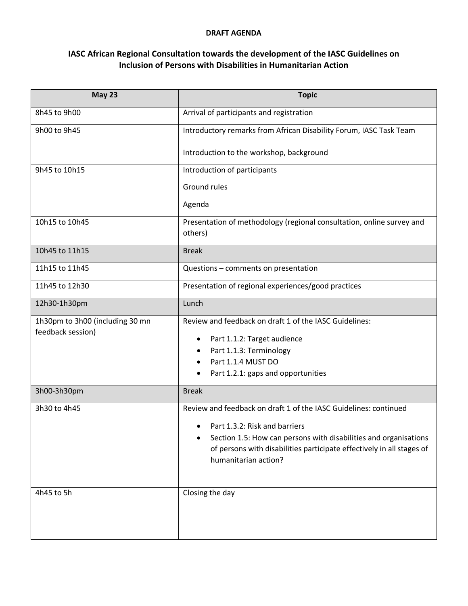## **DRAFT AGENDA**

## **IASC African Regional Consultation towards the development of the IASC Guidelines on Inclusion of Persons with Disabilities in Humanitarian Action**

| <b>May 23</b>                                        | <b>Topic</b>                                                                                                                                                                                                                                                                |
|------------------------------------------------------|-----------------------------------------------------------------------------------------------------------------------------------------------------------------------------------------------------------------------------------------------------------------------------|
| 8h45 to 9h00                                         | Arrival of participants and registration                                                                                                                                                                                                                                    |
| 9h00 to 9h45                                         | Introductory remarks from African Disability Forum, IASC Task Team                                                                                                                                                                                                          |
|                                                      | Introduction to the workshop, background                                                                                                                                                                                                                                    |
| 9h45 to 10h15                                        | Introduction of participants                                                                                                                                                                                                                                                |
|                                                      | Ground rules                                                                                                                                                                                                                                                                |
|                                                      | Agenda                                                                                                                                                                                                                                                                      |
| 10h15 to 10h45                                       | Presentation of methodology (regional consultation, online survey and<br>others)                                                                                                                                                                                            |
| 10h45 to 11h15                                       | <b>Break</b>                                                                                                                                                                                                                                                                |
| 11h15 to 11h45                                       | Questions - comments on presentation                                                                                                                                                                                                                                        |
| 11h45 to 12h30                                       | Presentation of regional experiences/good practices                                                                                                                                                                                                                         |
| 12h30-1h30pm                                         | Lunch                                                                                                                                                                                                                                                                       |
| 1h30pm to 3h00 (including 30 mn<br>feedback session) | Review and feedback on draft 1 of the IASC Guidelines:<br>Part 1.1.2: Target audience<br>٠<br>Part 1.1.3: Terminology<br>Part 1.1.4 MUST DO<br>$\bullet$<br>Part 1.2.1: gaps and opportunities<br>٠                                                                         |
| 3h00-3h30pm                                          | <b>Break</b>                                                                                                                                                                                                                                                                |
| 3h30 to 4h45                                         | Review and feedback on draft 1 of the IASC Guidelines: continued<br>Part 1.3.2: Risk and barriers<br>٠<br>Section 1.5: How can persons with disabilities and organisations<br>of persons with disabilities participate effectively in all stages of<br>humanitarian action? |
| 4h45 to 5h                                           | Closing the day                                                                                                                                                                                                                                                             |